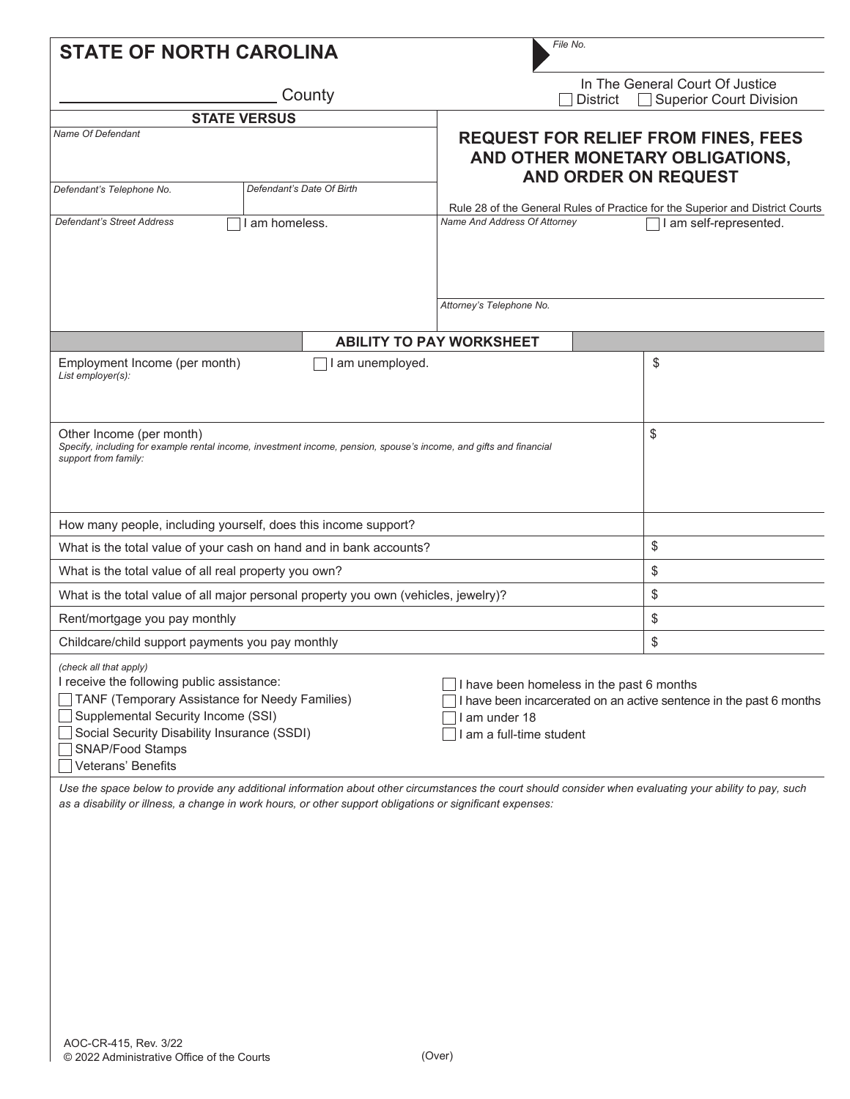| File No.<br><b>STATE OF NORTH CAROLINA</b>                                                                                                                                                                                                                                                                                                                                                                                                                                                                                                                                           |                                                                                                           |                                                                                                              |                                                            |                                                                                                         |  |  |
|--------------------------------------------------------------------------------------------------------------------------------------------------------------------------------------------------------------------------------------------------------------------------------------------------------------------------------------------------------------------------------------------------------------------------------------------------------------------------------------------------------------------------------------------------------------------------------------|-----------------------------------------------------------------------------------------------------------|--------------------------------------------------------------------------------------------------------------|------------------------------------------------------------|---------------------------------------------------------------------------------------------------------|--|--|
|                                                                                                                                                                                                                                                                                                                                                                                                                                                                                                                                                                                      |                                                                                                           | <b>District</b>                                                                                              | In The General Court Of Justice<br>Superior Court Division |                                                                                                         |  |  |
|                                                                                                                                                                                                                                                                                                                                                                                                                                                                                                                                                                                      | <b>STATE VERSUS</b>                                                                                       |                                                                                                              |                                                            |                                                                                                         |  |  |
| <b>Name Of Defendant</b>                                                                                                                                                                                                                                                                                                                                                                                                                                                                                                                                                             |                                                                                                           | <b>REQUEST FOR RELIEF FROM FINES, FEES</b><br>AND OTHER MONETARY OBLIGATIONS,<br><b>AND ORDER ON REQUEST</b> |                                                            |                                                                                                         |  |  |
| Defendant's Telephone No.                                                                                                                                                                                                                                                                                                                                                                                                                                                                                                                                                            | Defendant's Date Of Birth                                                                                 |                                                                                                              |                                                            |                                                                                                         |  |  |
| <b>Defendant's Street Address</b>                                                                                                                                                                                                                                                                                                                                                                                                                                                                                                                                                    | am homeless.                                                                                              | Name And Address Of Attorney                                                                                 |                                                            | Rule 28 of the General Rules of Practice for the Superior and District Courts<br>I am self-represented. |  |  |
|                                                                                                                                                                                                                                                                                                                                                                                                                                                                                                                                                                                      |                                                                                                           |                                                                                                              |                                                            |                                                                                                         |  |  |
|                                                                                                                                                                                                                                                                                                                                                                                                                                                                                                                                                                                      |                                                                                                           | Attorney's Telephone No.                                                                                     |                                                            |                                                                                                         |  |  |
|                                                                                                                                                                                                                                                                                                                                                                                                                                                                                                                                                                                      |                                                                                                           | <b>ABILITY TO PAY WORKSHEET</b>                                                                              |                                                            |                                                                                                         |  |  |
| Employment Income (per month)<br>List employer(s):                                                                                                                                                                                                                                                                                                                                                                                                                                                                                                                                   | I am unemployed.                                                                                          |                                                                                                              |                                                            | \$                                                                                                      |  |  |
| Other Income (per month)<br>Specify, including for example rental income, investment income, pension, spouse's income, and gifts and financial<br>support from family:                                                                                                                                                                                                                                                                                                                                                                                                               |                                                                                                           | \$                                                                                                           |                                                            |                                                                                                         |  |  |
| How many people, including yourself, does this income support?                                                                                                                                                                                                                                                                                                                                                                                                                                                                                                                       |                                                                                                           |                                                                                                              |                                                            |                                                                                                         |  |  |
| What is the total value of your cash on hand and in bank accounts?                                                                                                                                                                                                                                                                                                                                                                                                                                                                                                                   |                                                                                                           | \$                                                                                                           |                                                            |                                                                                                         |  |  |
| What is the total value of all real property you own?                                                                                                                                                                                                                                                                                                                                                                                                                                                                                                                                |                                                                                                           | \$                                                                                                           |                                                            |                                                                                                         |  |  |
| What is the total value of all major personal property you own (vehicles, jewelry)?                                                                                                                                                                                                                                                                                                                                                                                                                                                                                                  |                                                                                                           | \$                                                                                                           |                                                            |                                                                                                         |  |  |
| Rent/mortgage you pay monthly                                                                                                                                                                                                                                                                                                                                                                                                                                                                                                                                                        |                                                                                                           | \$                                                                                                           |                                                            |                                                                                                         |  |  |
| Childcare/child support payments you pay monthly                                                                                                                                                                                                                                                                                                                                                                                                                                                                                                                                     |                                                                                                           |                                                                                                              |                                                            | \$                                                                                                      |  |  |
| (check all that apply)<br>I receive the following public assistance:<br>$\Box$ I have been homeless in the past 6 months<br>TANF (Temporary Assistance for Needy Families)<br>I have been incarcerated on an active sentence in the past 6 months<br>Supplemental Security Income (SSI)<br>am under 18<br>Social Security Disability Insurance (SSDI)<br>am a full-time student<br>SNAP/Food Stamps<br>Veterans' Benefits<br>Use the space below to provide any additional information about other circumstances the court should consider when evaluating your ability to pay, such |                                                                                                           |                                                                                                              |                                                            |                                                                                                         |  |  |
|                                                                                                                                                                                                                                                                                                                                                                                                                                                                                                                                                                                      | as a disability or illness, a change in work hours, or other support obligations or significant expenses: |                                                                                                              |                                                            |                                                                                                         |  |  |